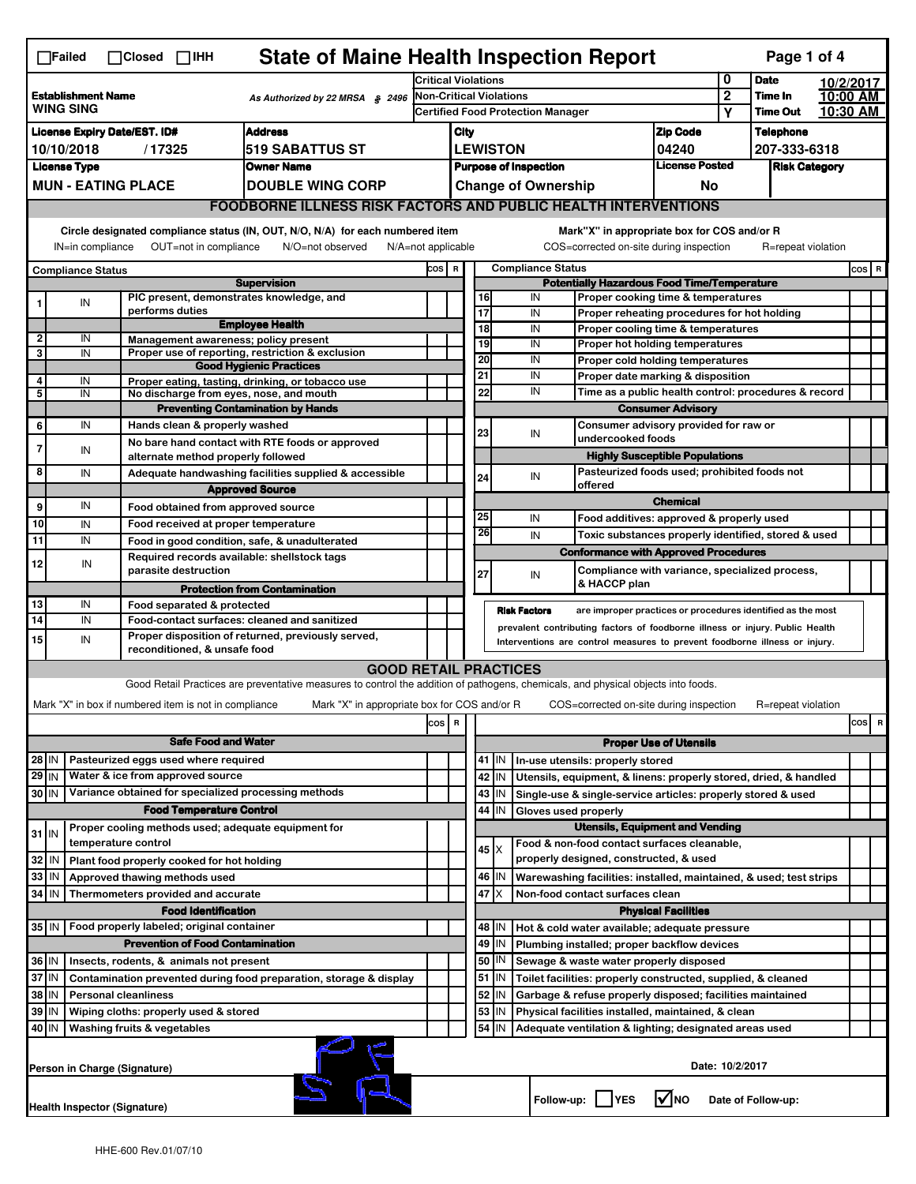|                                                                                                                                                          | <b>State of Maine Health Inspection Report</b><br>Page 1 of 4<br>$\Box$ Failed<br>$\Box$ Closed $\Box$ IHH                                                                                                             |  |                                                                            |                                                                                                                                                                   |                                                         |                                                       |                                                                                                                             |               |                                                                  |                                                                                       |                                       |                                   |                    |                      |           |
|----------------------------------------------------------------------------------------------------------------------------------------------------------|------------------------------------------------------------------------------------------------------------------------------------------------------------------------------------------------------------------------|--|----------------------------------------------------------------------------|-------------------------------------------------------------------------------------------------------------------------------------------------------------------|---------------------------------------------------------|-------------------------------------------------------|-----------------------------------------------------------------------------------------------------------------------------|---------------|------------------------------------------------------------------|---------------------------------------------------------------------------------------|---------------------------------------|-----------------------------------|--------------------|----------------------|-----------|
|                                                                                                                                                          |                                                                                                                                                                                                                        |  |                                                                            | <b>Critical Violations</b>                                                                                                                                        |                                                         |                                                       |                                                                                                                             |               |                                                                  | 0<br><b>Date</b>                                                                      |                                       | 10/2/2017                         |                    |                      |           |
| <b>Establishment Name</b><br>As Authorized by 22 MRSA § 2496<br><b>WING SING</b>                                                                         |                                                                                                                                                                                                                        |  |                                                                            | Non-Critical Violations<br><b>Certified Food Protection Manager</b>                                                                                               |                                                         |                                                       |                                                                                                                             |               |                                                                  |                                                                                       | $\overline{2}$<br>Υ                   | <b>Time In</b><br><b>Time Out</b> |                    | 10:00 AM<br>10:30 AM |           |
|                                                                                                                                                          | <b>Address</b><br><b>License Expiry Date/EST. ID#</b>                                                                                                                                                                  |  |                                                                            |                                                                                                                                                                   |                                                         |                                                       | <b>Zip Code</b><br>City                                                                                                     |               |                                                                  |                                                                                       |                                       |                                   | <b>Telephone</b>   |                      |           |
| 10/10/2018<br>/ 17325<br>519 SABATTUS ST                                                                                                                 |                                                                                                                                                                                                                        |  |                                                                            |                                                                                                                                                                   |                                                         | <b>LEWISTON</b>                                       |                                                                                                                             |               |                                                                  |                                                                                       | 04240                                 |                                   | 207-333-6318       |                      |           |
| <b>License Type</b><br>Owner Name                                                                                                                        |                                                                                                                                                                                                                        |  |                                                                            |                                                                                                                                                                   |                                                         | <b>License Posted</b><br><b>Purpose of Inspection</b> |                                                                                                                             |               |                                                                  |                                                                                       | <b>Risk Category</b>                  |                                   |                    |                      |           |
| <b>MUN - EATING PLACE</b><br><b>DOUBLE WING CORP</b>                                                                                                     |                                                                                                                                                                                                                        |  |                                                                            |                                                                                                                                                                   |                                                         |                                                       |                                                                                                                             |               | <b>Change of Ownership</b>                                       |                                                                                       | No.                                   |                                   |                    |                      |           |
|                                                                                                                                                          | <b>FOODBORNE ILLNESS RISK FACTORS AND PUBLIC HEALTH INTERVENTIONS</b>                                                                                                                                                  |  |                                                                            |                                                                                                                                                                   |                                                         |                                                       |                                                                                                                             |               |                                                                  |                                                                                       |                                       |                                   |                    |                      |           |
|                                                                                                                                                          | Circle designated compliance status (IN, OUT, N/O, N/A) for each numbered item<br>Mark"X" in appropriate box for COS and/or R                                                                                          |  |                                                                            |                                                                                                                                                                   |                                                         |                                                       |                                                                                                                             |               |                                                                  |                                                                                       |                                       |                                   |                    |                      |           |
| OUT=not in compliance<br>COS=corrected on-site during inspection<br>IN=in compliance<br>N/O=not observed<br>$N/A = not$ applicable<br>R=repeat violation |                                                                                                                                                                                                                        |  |                                                                            |                                                                                                                                                                   |                                                         |                                                       |                                                                                                                             |               |                                                                  |                                                                                       |                                       |                                   |                    |                      |           |
|                                                                                                                                                          | <b>Compliance Status</b>                                                                                                                                                                                               |  |                                                                            |                                                                                                                                                                   | COS R                                                   |                                                       | <b>Compliance Status</b><br><b>Potentially Hazardous Food Time/Temperature</b>                                              |               |                                                                  |                                                                                       |                                       |                                   |                    |                      | $cos$ R   |
|                                                                                                                                                          | IN                                                                                                                                                                                                                     |  | PIC present, demonstrates knowledge, and                                   | <b>Supervision</b>                                                                                                                                                |                                                         |                                                       |                                                                                                                             | 16            | IN                                                               | Proper cooking time & temperatures                                                    |                                       |                                   |                    |                      |           |
|                                                                                                                                                          |                                                                                                                                                                                                                        |  | performs duties                                                            |                                                                                                                                                                   |                                                         |                                                       |                                                                                                                             | 17            | IN                                                               | Proper reheating procedures for hot holding                                           |                                       |                                   |                    |                      |           |
| $\overline{\mathbf{2}}$                                                                                                                                  | IN                                                                                                                                                                                                                     |  |                                                                            | <b>Employee Health</b>                                                                                                                                            |                                                         |                                                       |                                                                                                                             | 18            | IN                                                               | Proper cooling time & temperatures                                                    |                                       |                                   |                    |                      |           |
| 3                                                                                                                                                        | IN                                                                                                                                                                                                                     |  | Management awareness; policy present                                       | Proper use of reporting, restriction & exclusion                                                                                                                  |                                                         |                                                       |                                                                                                                             | 19            | IN                                                               | <b>Proper hot holding temperatures</b>                                                |                                       |                                   |                    |                      |           |
|                                                                                                                                                          |                                                                                                                                                                                                                        |  |                                                                            | <b>Good Hygienic Practices</b>                                                                                                                                    |                                                         |                                                       | 21                                                                                                                          | 20            | IN<br>IN                                                         | Proper cold holding temperatures<br>Proper date marking & disposition                 |                                       |                                   |                    |                      |           |
| 4<br>5                                                                                                                                                   | IN<br>IN                                                                                                                                                                                                               |  | No discharge from eyes, nose, and mouth                                    | Proper eating, tasting, drinking, or tobacco use                                                                                                                  |                                                         |                                                       |                                                                                                                             | 22            | IN                                                               | Time as a public health control: procedures & record                                  |                                       |                                   |                    |                      |           |
|                                                                                                                                                          |                                                                                                                                                                                                                        |  |                                                                            | <b>Preventing Contamination by Hands</b>                                                                                                                          |                                                         |                                                       |                                                                                                                             |               |                                                                  |                                                                                       | <b>Consumer Advisory</b>              |                                   |                    |                      |           |
| 6                                                                                                                                                        | IN                                                                                                                                                                                                                     |  | Hands clean & properly washed                                              |                                                                                                                                                                   |                                                         |                                                       | 23                                                                                                                          |               | IN                                                               | Consumer advisory provided for raw or                                                 |                                       |                                   |                    |                      |           |
| 7                                                                                                                                                        | IN                                                                                                                                                                                                                     |  |                                                                            | No bare hand contact with RTE foods or approved                                                                                                                   |                                                         |                                                       |                                                                                                                             |               |                                                                  | undercooked foods                                                                     |                                       |                                   |                    |                      |           |
| 8                                                                                                                                                        |                                                                                                                                                                                                                        |  | alternate method properly followed                                         |                                                                                                                                                                   |                                                         |                                                       |                                                                                                                             |               |                                                                  | Pasteurized foods used; prohibited foods not                                          | <b>Highly Susceptible Populations</b> |                                   |                    |                      |           |
|                                                                                                                                                          | IN                                                                                                                                                                                                                     |  |                                                                            | Adequate handwashing facilities supplied & accessible<br><b>Approved Source</b>                                                                                   |                                                         |                                                       | 24                                                                                                                          |               | IN                                                               | offered                                                                               |                                       |                                   |                    |                      |           |
| 9                                                                                                                                                        | IN                                                                                                                                                                                                                     |  | Food obtained from approved source                                         |                                                                                                                                                                   |                                                         |                                                       |                                                                                                                             |               |                                                                  |                                                                                       | <b>Chemical</b>                       |                                   |                    |                      |           |
| 10                                                                                                                                                       | IN                                                                                                                                                                                                                     |  | Food received at proper temperature                                        |                                                                                                                                                                   |                                                         |                                                       |                                                                                                                             | 25            | IN                                                               | Food additives: approved & properly used                                              |                                       |                                   |                    |                      |           |
| 11                                                                                                                                                       | IN                                                                                                                                                                                                                     |  |                                                                            | Food in good condition, safe, & unadulterated                                                                                                                     |                                                         |                                                       |                                                                                                                             | 26            | IN                                                               | Toxic substances properly identified, stored & used                                   |                                       |                                   |                    |                      |           |
| 12                                                                                                                                                       | IN                                                                                                                                                                                                                     |  | Required records available: shellstock tags                                |                                                                                                                                                                   |                                                         |                                                       |                                                                                                                             |               |                                                                  | <b>Conformance with Approved Procedures</b>                                           |                                       |                                   |                    |                      |           |
|                                                                                                                                                          |                                                                                                                                                                                                                        |  | parasite destruction                                                       |                                                                                                                                                                   |                                                         |                                                       | 27                                                                                                                          |               | IN                                                               | Compliance with variance, specialized process,<br>& HACCP plan                        |                                       |                                   |                    |                      |           |
| 13                                                                                                                                                       | IN                                                                                                                                                                                                                     |  | Food separated & protected                                                 | <b>Protection from Contamination</b>                                                                                                                              |                                                         |                                                       |                                                                                                                             |               |                                                                  |                                                                                       |                                       |                                   |                    |                      |           |
| 14                                                                                                                                                       | IN                                                                                                                                                                                                                     |  |                                                                            | Food-contact surfaces: cleaned and sanitized                                                                                                                      |                                                         |                                                       |                                                                                                                             |               | <b>Risk Factors</b>                                              | are improper practices or procedures identified as the most                           |                                       |                                   |                    |                      |           |
| 15                                                                                                                                                       | prevalent contributing factors of foodborne illness or injury. Public Health<br>Proper disposition of returned, previously served,<br>IN<br>Interventions are control measures to prevent foodborne illness or injury. |  |                                                                            |                                                                                                                                                                   |                                                         |                                                       |                                                                                                                             |               |                                                                  |                                                                                       |                                       |                                   |                    |                      |           |
|                                                                                                                                                          |                                                                                                                                                                                                                        |  | reconditioned, & unsafe food                                               |                                                                                                                                                                   |                                                         |                                                       |                                                                                                                             |               |                                                                  |                                                                                       |                                       |                                   |                    |                      |           |
|                                                                                                                                                          |                                                                                                                                                                                                                        |  |                                                                            | <b>GOOD RETAIL PRACTICES</b><br>Good Retail Practices are preventative measures to control the addition of pathogens, chemicals, and physical objects into foods. |                                                         |                                                       |                                                                                                                             |               |                                                                  |                                                                                       |                                       |                                   |                    |                      |           |
|                                                                                                                                                          |                                                                                                                                                                                                                        |  | Mark "X" in box if numbered item is not in compliance                      | Mark "X" in appropriate box for COS and/or R                                                                                                                      |                                                         |                                                       |                                                                                                                             |               |                                                                  | COS=corrected on-site during inspection                                               |                                       |                                   | R=repeat violation |                      |           |
|                                                                                                                                                          |                                                                                                                                                                                                                        |  |                                                                            |                                                                                                                                                                   |                                                         |                                                       |                                                                                                                             |               |                                                                  |                                                                                       |                                       |                                   |                    |                      | cosl<br>R |
| cos R<br><b>Safe Food and Water</b><br><b>Proper Use of Utensils</b>                                                                                     |                                                                                                                                                                                                                        |  |                                                                            |                                                                                                                                                                   |                                                         |                                                       |                                                                                                                             |               |                                                                  |                                                                                       |                                       |                                   |                    |                      |           |
| Pasteurized eggs used where required<br>$28$ IN                                                                                                          |                                                                                                                                                                                                                        |  |                                                                            |                                                                                                                                                                   |                                                         |                                                       |                                                                                                                             | 41   IN       |                                                                  | In-use utensils: properly stored                                                      |                                       |                                   |                    |                      |           |
| $29$ IN<br>Water & ice from approved source                                                                                                              |                                                                                                                                                                                                                        |  |                                                                            |                                                                                                                                                                   |                                                         |                                                       | 42<br>IN                                                                                                                    |               | Utensils, equipment, & linens: properly stored, dried, & handled |                                                                                       |                                       |                                   |                    |                      |           |
| Variance obtained for specialized processing methods<br>30 IN                                                                                            |                                                                                                                                                                                                                        |  |                                                                            |                                                                                                                                                                   |                                                         |                                                       | 43<br>IN                                                                                                                    |               | Single-use & single-service articles: properly stored & used     |                                                                                       |                                       |                                   |                    |                      |           |
|                                                                                                                                                          |                                                                                                                                                                                                                        |  | <b>Food Temperature Control</b>                                            |                                                                                                                                                                   |                                                         |                                                       | 44<br>IN<br>Gloves used properly                                                                                            |               |                                                                  |                                                                                       |                                       |                                   |                    |                      |           |
| $31$ IN                                                                                                                                                  |                                                                                                                                                                                                                        |  | Proper cooling methods used; adequate equipment for<br>temperature control |                                                                                                                                                                   |                                                         |                                                       |                                                                                                                             |               |                                                                  | <b>Utensils, Equipment and Vending</b>                                                |                                       |                                   |                    |                      |           |
| 32                                                                                                                                                       | IN                                                                                                                                                                                                                     |  | Plant food properly cooked for hot holding                                 |                                                                                                                                                                   |                                                         |                                                       |                                                                                                                             | 45 X          |                                                                  | Food & non-food contact surfaces cleanable,<br>properly designed, constructed, & used |                                       |                                   |                    |                      |           |
| 33                                                                                                                                                       | IN                                                                                                                                                                                                                     |  | Approved thawing methods used                                              |                                                                                                                                                                   |                                                         |                                                       |                                                                                                                             | 46<br>IN      |                                                                  | Warewashing facilities: installed, maintained, & used; test strips                    |                                       |                                   |                    |                      |           |
| 34 IN                                                                                                                                                    |                                                                                                                                                                                                                        |  | Thermometers provided and accurate                                         |                                                                                                                                                                   |                                                         |                                                       |                                                                                                                             | $47$ $\times$ |                                                                  | Non-food contact surfaces clean                                                       |                                       |                                   |                    |                      |           |
|                                                                                                                                                          |                                                                                                                                                                                                                        |  | <b>Food Identification</b>                                                 |                                                                                                                                                                   |                                                         |                                                       |                                                                                                                             |               |                                                                  |                                                                                       | <b>Physical Facilities</b>            |                                   |                    |                      |           |
|                                                                                                                                                          |                                                                                                                                                                                                                        |  | 35   IN   Food properly labeled; original container                        |                                                                                                                                                                   |                                                         |                                                       |                                                                                                                             | 48 I IN       |                                                                  | Hot & cold water available; adequate pressure                                         |                                       |                                   |                    |                      |           |
| <b>Prevention of Food Contamination</b>                                                                                                                  |                                                                                                                                                                                                                        |  |                                                                            |                                                                                                                                                                   | 49<br>IN<br>Plumbing installed; proper backflow devices |                                                       |                                                                                                                             |               |                                                                  |                                                                                       |                                       |                                   |                    |                      |           |
| 36 IN<br>Insects, rodents, & animals not present                                                                                                         |                                                                                                                                                                                                                        |  |                                                                            |                                                                                                                                                                   |                                                         | 50<br>IN<br>Sewage & waste water properly disposed    |                                                                                                                             |               |                                                                  |                                                                                       |                                       |                                   |                    |                      |           |
| 37<br>38                                                                                                                                                 | ΙN<br>Contamination prevented during food preparation, storage & display<br><b>Personal cleanliness</b><br>IN                                                                                                          |  |                                                                            |                                                                                                                                                                   |                                                         |                                                       | $51$ M<br>Toilet facilities: properly constructed, supplied, & cleaned<br>52<br>IN                                          |               |                                                                  |                                                                                       |                                       |                                   |                    |                      |           |
| 39<br>IN<br>Wiping cloths: properly used & stored                                                                                                        |                                                                                                                                                                                                                        |  |                                                                            |                                                                                                                                                                   |                                                         |                                                       | Garbage & refuse properly disposed; facilities maintained<br>53<br>IN<br>Physical facilities installed, maintained, & clean |               |                                                                  |                                                                                       |                                       |                                   |                    |                      |           |
| 54<br>40 IN<br>Washing fruits & vegetables<br>IN<br>Adequate ventilation & lighting; designated areas used                                               |                                                                                                                                                                                                                        |  |                                                                            |                                                                                                                                                                   |                                                         |                                                       |                                                                                                                             |               |                                                                  |                                                                                       |                                       |                                   |                    |                      |           |
|                                                                                                                                                          | Date: 10/2/2017<br>Person in Charge (Signature)                                                                                                                                                                        |  |                                                                            |                                                                                                                                                                   |                                                         |                                                       |                                                                                                                             |               |                                                                  |                                                                                       |                                       |                                   |                    |                      |           |
|                                                                                                                                                          | $\sqrt{ }$ NO<br>Follow-up:     YES<br>Date of Follow-up:<br><b>Health Inspector (Signature)</b>                                                                                                                       |  |                                                                            |                                                                                                                                                                   |                                                         |                                                       |                                                                                                                             |               |                                                                  |                                                                                       |                                       |                                   |                    |                      |           |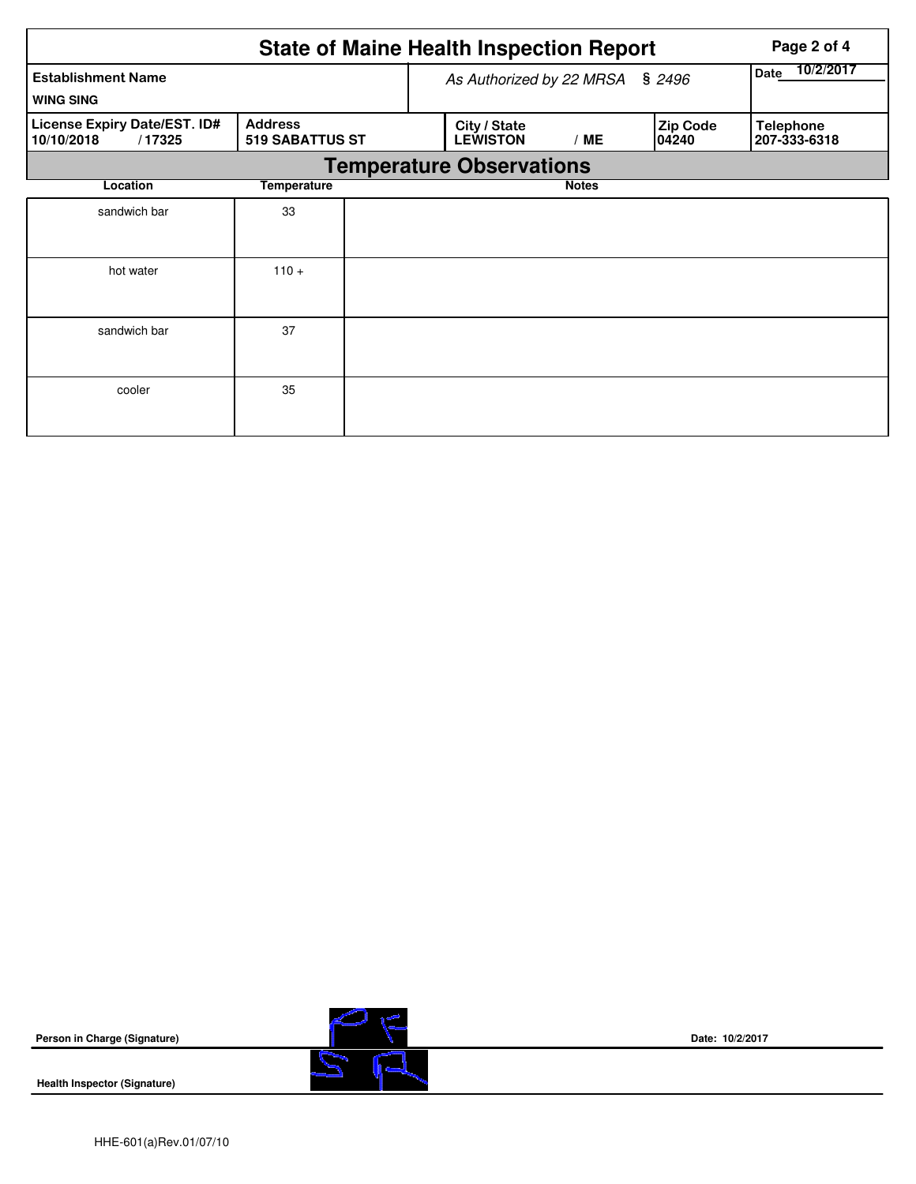|                                                      |                                          |  | <b>State of Maine Health Inspection Report</b> | Page 2 of 4       |                          |                                  |  |  |
|------------------------------------------------------|------------------------------------------|--|------------------------------------------------|-------------------|--------------------------|----------------------------------|--|--|
| <b>Establishment Name</b><br><b>WING SING</b>        |                                          |  | As Authorized by 22 MRSA                       | 10/2/2017<br>Date |                          |                                  |  |  |
| License Expiry Date/EST. ID#<br>10/10/2018<br>/17325 | <b>Address</b><br><b>519 SABATTUS ST</b> |  | City / State<br><b>LEWISTON</b><br>/ME         |                   | <b>Zip Code</b><br>04240 | <b>Telephone</b><br>207-333-6318 |  |  |
| <b>Temperature Observations</b>                      |                                          |  |                                                |                   |                          |                                  |  |  |
| Location                                             |                                          |  |                                                |                   |                          |                                  |  |  |
| sandwich bar                                         | 33                                       |  |                                                |                   |                          |                                  |  |  |
| hot water                                            | $110 +$                                  |  |                                                |                   |                          |                                  |  |  |
| sandwich bar                                         | 37                                       |  |                                                |                   |                          |                                  |  |  |
| cooler                                               | 35                                       |  |                                                |                   |                          |                                  |  |  |

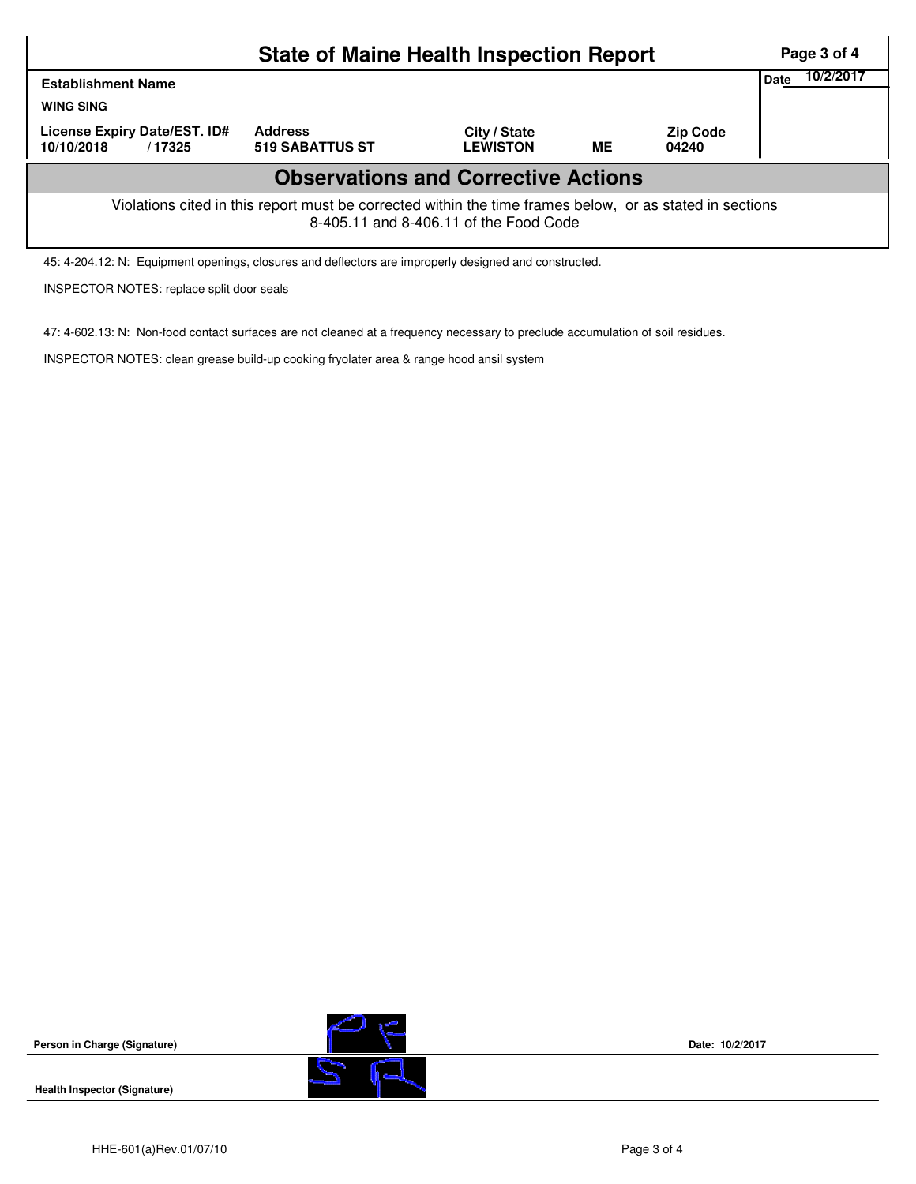|                                                                                                                                                    | Page 3 of 4                       |                                 |    |                          |                          |  |  |  |  |  |
|----------------------------------------------------------------------------------------------------------------------------------------------------|-----------------------------------|---------------------------------|----|--------------------------|--------------------------|--|--|--|--|--|
| <b>Establishment Name</b><br><b>WING SING</b>                                                                                                      |                                   |                                 |    |                          | 10/2/2017<br><b>Date</b> |  |  |  |  |  |
| License Expiry Date/EST. ID#<br>10/10/2018<br>/17325                                                                                               | <b>Address</b><br>519 SABATTUS ST | City / State<br><b>LEWISTON</b> | ME | <b>Zip Code</b><br>04240 |                          |  |  |  |  |  |
| <b>Observations and Corrective Actions</b>                                                                                                         |                                   |                                 |    |                          |                          |  |  |  |  |  |
| Violations cited in this report must be corrected within the time frames below, or as stated in sections<br>8-405.11 and 8-406.11 of the Food Code |                                   |                                 |    |                          |                          |  |  |  |  |  |

45: 4-204.12: N: Equipment openings, closures and deflectors are improperly designed and constructed.

INSPECTOR NOTES: replace split door seals

47: 4-602.13: N: Non-food contact surfaces are not cleaned at a frequency necessary to preclude accumulation of soil residues.

INSPECTOR NOTES: clean grease build-up cooking fryolater area & range hood ansil system